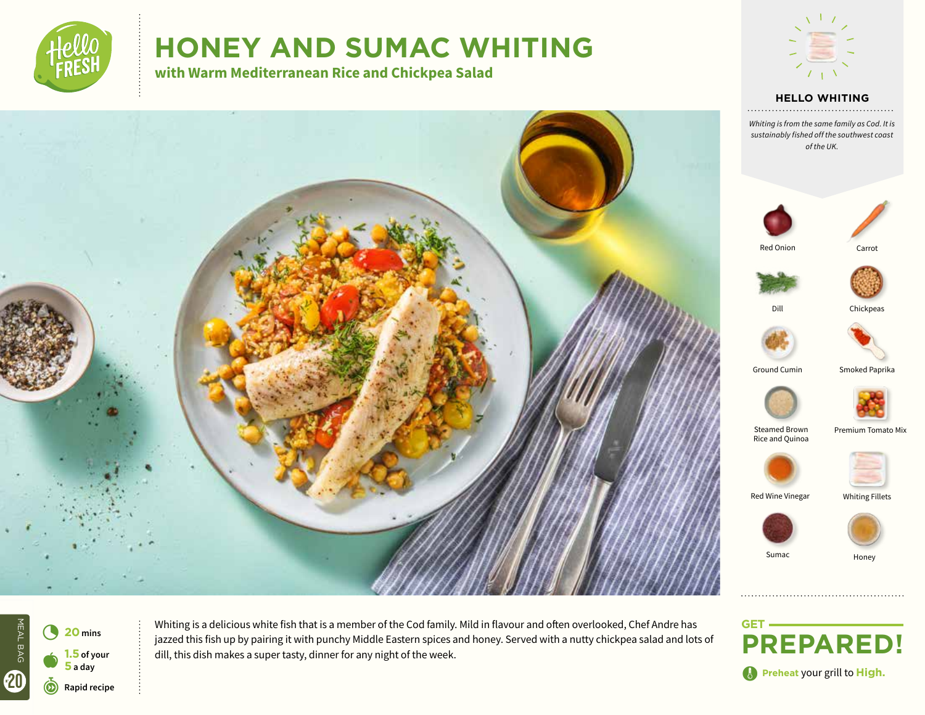

# **HONEY AND SUMAC WHITING**

**with Warm Mediterranean Rice and Chickpea Salad**











Whiting is a delicious white fish that is a member of the Cod family. Mild in flavour and often overlooked, Chef Andre has jazzed this fish up by pairing it with punchy Middle Eastern spices and honey. Served with a nutty chickpea salad and lots of dill, this dish makes a super tasty, dinner for any night of the week.